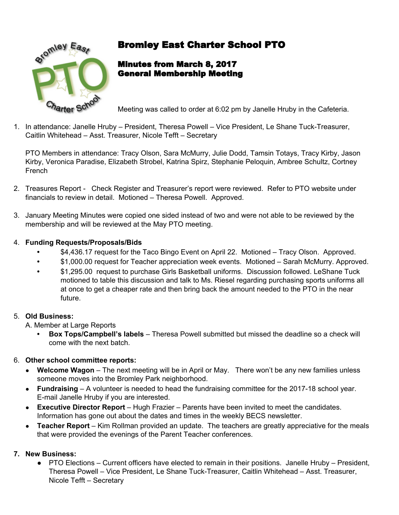

# <sub>ለ\\ey\_</sub>E<sub>as</sub>, Bromley East Charter School PTO

## Minutes from March 8, 2017 General Membership Meeting

Meeting was called to order at 6:02 pm by Janelle Hruby in the Cafeteria.

1. In attendance: Janelle Hruby – President, Theresa Powell – Vice President, Le Shane Tuck-Treasurer, Caitlin Whitehead – Asst. Treasurer, Nicole Tefft – Secretary

PTO Members in attendance: Tracy Olson, Sara McMurry, Julie Dodd, Tamsin Totays, Tracy Kirby, Jason Kirby, Veronica Paradise, Elizabeth Strobel, Katrina Spirz, Stephanie Peloquin, Ambree Schultz, Cortney French

- 2. Treasures Report Check Register and Treasurer's report were reviewed. Refer to PTO website under financials to review in detail. Motioned – Theresa Powell. Approved.
- 3. January Meeting Minutes were copied one sided instead of two and were not able to be reviewed by the membership and will be reviewed at the May PTO meeting.

#### 4. **Funding Requests/Proposals/Bids**

- **•** \$4,436.17 request for the Taco Bingo Event on April 22. Motioned Tracy Olson. Approved.
- **•** \$1,000.00 request for Teacher appreciation week events. Motioned Sarah McMurry. Approved.
- **•** \$1,295.00 request to purchase Girls Basketball uniforms. Discussion followed. LeShane Tuck motioned to table this discussion and talk to Ms. Riesel regarding purchasing sports uniforms all at once to get a cheaper rate and then bring back the amount needed to the PTO in the near future.

#### 5. **Old Business:**

A. Member at Large Reports

**• Box Tops/Campbell's labels** – Theresa Powell submitted but missed the deadline so a check will come with the next batch.

## 6. **Other school committee reports:**

- **Welcome Wagon** The next meeting will be in April or May. There won't be any new families unless someone moves into the Bromley Park neighborhood.
- **Fundraising**  A volunteer is needed to head the fundraising committee for the 2017-18 school year. E-mail Janelle Hruby if you are interested.
- **Executive Director Report** Hugh Frazier Parents have been invited to meet the candidates. Information has gone out about the dates and times in the weekly BECS newsletter.
- **Teacher Report** Kim Rollman provided an update. The teachers are greatly appreciative for the meals that were provided the evenings of the Parent Teacher conferences.

## **7. New Business:**

**●** PTO Elections – Current officers have elected to remain in their positions. Janelle Hruby – President, Theresa Powell – Vice President, Le Shane Tuck-Treasurer, Caitlin Whitehead – Asst. Treasurer, Nicole Tefft – Secretary